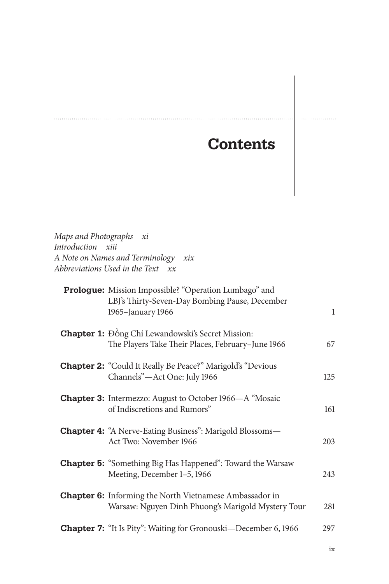## **Contents**

. . . . . . . .

*Maps and Photographs xi Introduction xiii A Note on Names and Terminology xix Abbreviations Used in the Text xx*

| Prologue: Mission Impossible? "Operation Lumbago" and<br>LBJ's Thirty-Seven-Day Bombing Pause, December<br>1965-January 1966 | $\mathbf{1}$ |
|------------------------------------------------------------------------------------------------------------------------------|--------------|
| <b>Chapter 1:</b> Đồng Chí Lewandowski's Secret Mission:<br>The Players Take Their Places, February-June 1966                | 67           |
| <b>Chapter 2: "Could It Really Be Peace?" Marigold's "Devious</b><br>Channels"-Act One: July 1966                            | 125          |
| <b>Chapter 3:</b> Intermezzo: August to October 1966—A "Mosaic<br>of Indiscretions and Rumors"                               | 161          |
| <b>Chapter 4: "A Nerve-Eating Business": Marigold Blossoms—</b><br>Act Two: November 1966                                    | 203          |
| <b>Chapter 5: "Something Big Has Happened": Toward the Warsaw</b><br>Meeting, December 1-5, 1966                             | 243          |
| <b>Chapter 6:</b> Informing the North Vietnamese Ambassador in<br>Warsaw: Nguyen Dinh Phuong's Marigold Mystery Tour         | 281          |
| <b>Chapter 7:</b> "It Is Pity": Waiting for Gronouski-December 6, 1966                                                       | 297          |